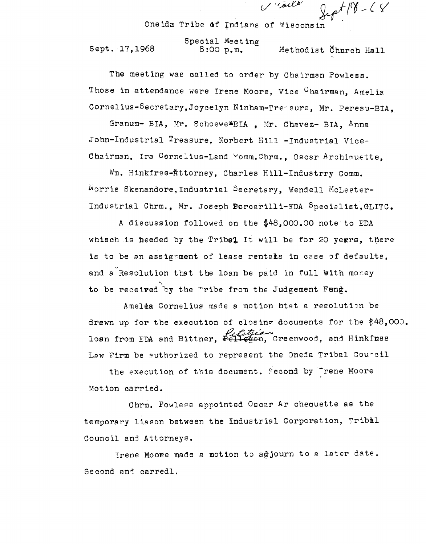One ida Tribe di Indians of Wiscons in

I'ldella

Special Meeting<br>Sept. 17,1968 8:00 p.m. Methodist Church Hall

The meeting was called to order by Chairman Powless. Those in attendance were Irene Moore, Vice Chairman, Amelia Cornelius-Secretary, Joycelyn Ninham-Treesure, Mr. Peresu-BIA.

Granum- BIA, Mr. Schoewe<sup>x</sup>BIA , Mr. Chavez- BIA, Anna John-Industrial Treasure, Norbert Hill -Industrial Vice-Chairman, Ira Cornelius-Land vomm.Chrm., Oscar Archiquette,

Wm. Hinkfrss-Attorney, Charles Hill-Industrry Comm. Norris Skenandore,Industrial Secretary, Wendell McLester-Industrial Chrm., Mr. Joseph Borcarilli-EDA Specielist,GLITC.

*A* discussion followed on the \$48,000.00 note to EDA whisch is heeded by the Tribal It will be for 20 years, there is to be an assignment of lease rentals in case of defaults, and a Resolution that the loan be paid in full with money to be received by the "ribe from the Judgement Fund.

Ameléa Cornelius made a motion htat a resolution be drewn up for the execution of closing documents for the  $$48,000$ . loan from EDA and Bittner, Pelletian Greenwood, and Hinkfnss Law Firm be euthorized to represent the Oneda Tribal Courcil

the execution of this document. Fecond by <sup>thene</sup> Moore Motion carried.

Chrm. Powless appointed Oscar Ar chequette as the temporary liason between the Industrial Corporation, Tribal Council and Attorneys.

Irene Moore made a motion to adjourn to a later date. Second and carredl.